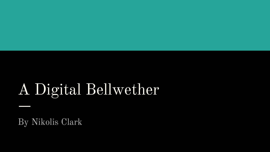# A Digital Bellwether

By Nikolis Clark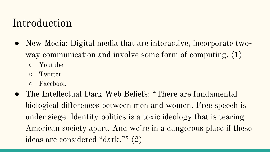#### Introduction

- New Media: Digital media that are interactive, incorporate twoway communication and involve some form of computing. (1) ○ Youtube
	- Twitter
	- Facebook
- The Intellectual Dark Web Beliefs: "There are fundamental biological differences between men and women. Free speech is under siege. Identity politics is a toxic ideology that is tearing American society apart. And we're in a dangerous place if these ideas are considered "dark."" (2)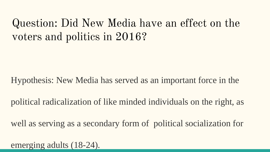## Question: Did New Media have an effect on the voters and politics in 2016?

Hypothesis: New Media has served as an important force in the

political radicalization of like minded individuals on the right, as

well as serving as a secondary form of political socialization for

emerging adults (18-24).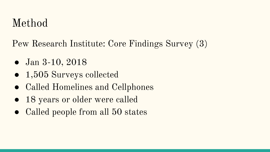## Method

Pew Research Institute: Core Findings Survey (3)

- Jan 3-10, 2018
- 1,505 Surveys collected
- Called Homelines and Cellphones
- 18 years or older were called
- Called people from all 50 states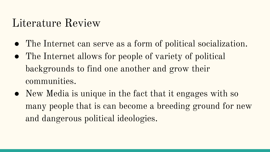### Literature Review

- The Internet can serve as a form of political socialization.
- The Internet allows for people of variety of political backgrounds to find one another and grow their communities.
- New Media is unique in the fact that it engages with so many people that is can become a breeding ground for new and dangerous political ideologies.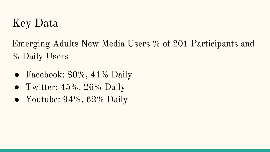## Key Data

Emerging Adults New Media Users % of 201 Participants and % Daily Users

- Facebook:  $80\%$ ,  $41\%$  Daily
- Twitter:  $45\%, 26\%$  Daily
- Youtube:  $94\%, 62\%$  Daily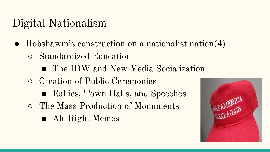## Digital Nationalism

- Hobsbawm's construction on a nationalist nation(4)
	- Standardized Education
		- The IDW and New Media Socialization
	- Creation of Public Ceremonies
		- Rallies, Town Halls, and Speeches
	- The Mass Production of Monuments
		- Alt-Right Memes

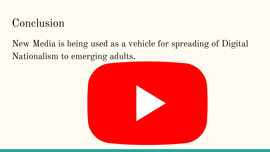### Conclusion

#### New Media is being used as a vehicle for spreading of Digital Nationalism to emerging adults.